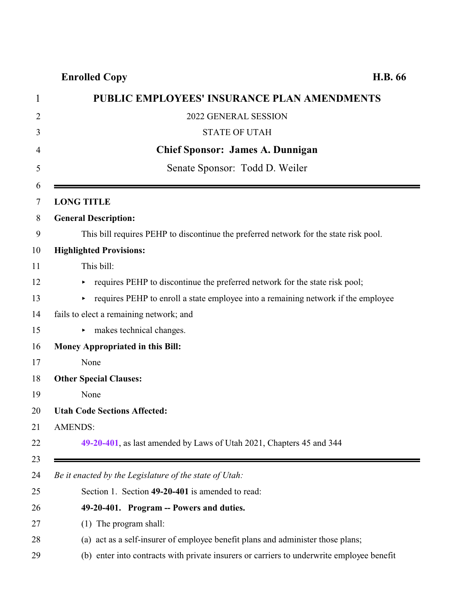### **Enrolled Copy H.B. 66**

<span id="page-0-0"></span>

| 1              | <b>PUBLIC EMPLOYEES' INSURANCE PLAN AMENDMENTS</b>                                        |
|----------------|-------------------------------------------------------------------------------------------|
| $\overline{2}$ | 2022 GENERAL SESSION                                                                      |
| 3              | <b>STATE OF UTAH</b>                                                                      |
| 4              | <b>Chief Sponsor: James A. Dunnigan</b>                                                   |
| 5              | Senate Sponsor: Todd D. Weiler                                                            |
| 6<br>$\tau$    | <b>LONG TITLE</b>                                                                         |
| 8              | <b>General Description:</b>                                                               |
| 9              | This bill requires PEHP to discontinue the preferred network for the state risk pool.     |
| 10             | <b>Highlighted Provisions:</b>                                                            |
|                | This bill:                                                                                |
|                | requires PEHP to discontinue the preferred network for the state risk pool;<br>▶          |
|                | requires PEHP to enroll a state employee into a remaining network if the employee         |
|                | fails to elect a remaining network; and                                                   |
|                | makes technical changes.                                                                  |
|                | <b>Money Appropriated in this Bill:</b>                                                   |
|                | None                                                                                      |
|                | <b>Other Special Clauses:</b>                                                             |
|                | None                                                                                      |
|                | <b>Utah Code Sections Affected:</b>                                                       |
|                | AMENDS:                                                                                   |
|                | 49-20-401, as last amended by Laws of Utah 2021, Chapters 45 and 344                      |
| 23<br>24       | Be it enacted by the Legislature of the state of Utah:                                    |
| 25             | Section 1. Section 49-20-401 is amended to read:                                          |
| 26             | 49-20-401. Program -- Powers and duties.                                                  |
|                | (1) The program shall:                                                                    |
|                | (a) act as a self-insurer of employee benefit plans and administer those plans;           |
|                | (b) enter into contracts with private insurers or carriers to underwrite employee benefit |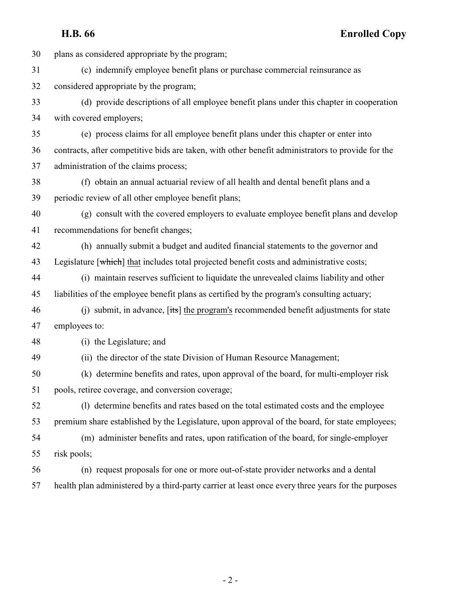**H.B. 66 Enrolled Copy**

 plans as considered appropriate by the program; (c) indemnify employee benefit plans or purchase commercial reinsurance as considered appropriate by the program; (d) provide descriptions of all employee benefit plans under this chapter in cooperation with covered employers; (e) process claims for all employee benefit plans under this chapter or enter into contracts, after competitive bids are taken, with other benefit administrators to provide for the administration of the claims process; (f) obtain an annual actuarial review of all health and dental benefit plans and a periodic review of all other employee benefit plans; (g) consult with the covered employers to evaluate employee benefit plans and develop recommendations for benefit changes; (h) annually submit a budget and audited financial statements to the governor and 43 Legislature [which] that includes total projected benefit costs and administrative costs; (i) maintain reserves sufficient to liquidate the unrevealed claims liability and other liabilities of the employee benefit plans as certified by the program's consulting actuary; (j) submit, in advance, [its] the program's recommended benefit adjustments for state employees to: (i) the Legislature; and (ii) the director of the state Division of Human Resource Management; (k) determine benefits and rates, upon approval of the board, for multi-employer risk pools, retiree coverage, and conversion coverage; (l) determine benefits and rates based on the total estimated costs and the employee premium share established by the Legislature, upon approval of the board, for state employees; (m) administer benefits and rates, upon ratification of the board, for single-employer risk pools; (n) request proposals for one or more out-of-state provider networks and a dental health plan administered by a third-party carrier at least once every three years for the purposes

 $-2-$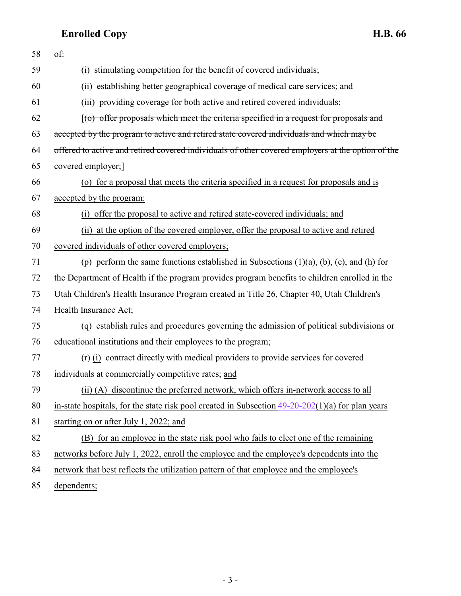# **Enrolled Copy H.B. 66**

| 58 | of:                                                                                                |
|----|----------------------------------------------------------------------------------------------------|
| 59 | (i) stimulating competition for the benefit of covered individuals;                                |
| 60 | (ii) establishing better geographical coverage of medical care services; and                       |
| 61 | (iii) providing coverage for both active and retired covered individuals;                          |
| 62 | $(6)$ offer proposals which meet the criteria specified in a request for proposals and             |
| 63 | accepted by the program to active and retired state covered individuals and which may be           |
| 64 | offered to active and retired covered individuals of other covered employers at the option of the  |
| 65 | covered employer;                                                                                  |
| 66 | (o) for a proposal that meets the criteria specified in a request for proposals and is             |
| 67 | accepted by the program:                                                                           |
| 68 | (i) offer the proposal to active and retired state-covered individuals; and                        |
| 69 | (ii) at the option of the covered employer, offer the proposal to active and retired               |
| 70 | covered individuals of other covered employers;                                                    |
| 71 | (p) perform the same functions established in Subsections $(1)(a)$ , $(b)$ , $(e)$ , and $(h)$ for |
| 72 | the Department of Health if the program provides program benefits to children enrolled in the      |
| 73 | Utah Children's Health Insurance Program created in Title 26, Chapter 40, Utah Children's          |
| 74 | Health Insurance Act;                                                                              |
| 75 | (q) establish rules and procedures governing the admission of political subdivisions or            |
| 76 | educational institutions and their employees to the program;                                       |
| 77 | (r) (i) contract directly with medical providers to provide services for covered                   |
| 78 | individuals at commercially competitive rates; and                                                 |
| 79 | (ii) (A) discontinue the preferred network, which offers in-network access to all                  |
| 80 | in-state hospitals, for the state risk pool created in Subsection $49-20-202(1)(a)$ for plan years |
| 81 | starting on or after July 1, 2022; and                                                             |
| 82 | (B) for an employee in the state risk pool who fails to elect one of the remaining                 |
| 83 | networks before July 1, 2022, enroll the employee and the employee's dependents into the           |
| 84 | network that best reflects the utilization pattern of that employee and the employee's             |
| 85 | dependents;                                                                                        |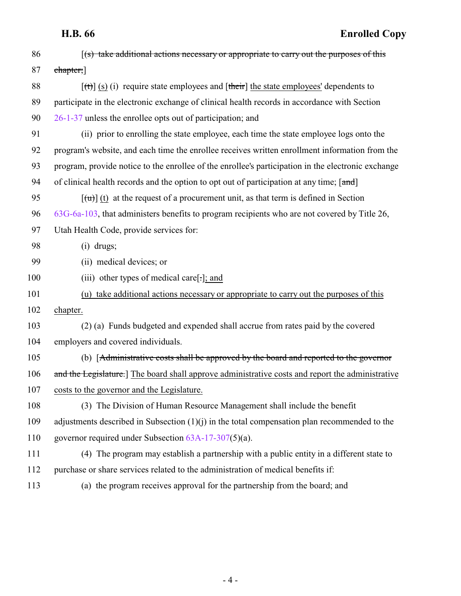# **H.B. 66 Enrolled Copy**

| 86  | $(s)$ take additional actions necessary or appropriate to carry out the purposes of this                |
|-----|---------------------------------------------------------------------------------------------------------|
| 87  | chapter;                                                                                                |
| 88  | $[\text{ft}]$ (s) (i) require state employees and $[\text{their}]$ the state employees' dependents to   |
| 89  | participate in the electronic exchange of clinical health records in accordance with Section            |
| 90  | 26-1-37 unless the enrollee opts out of participation; and                                              |
| 91  | (ii) prior to enrolling the state employee, each time the state employee logs onto the                  |
| 92  | program's website, and each time the enrollee receives written enrollment information from the          |
| 93  | program, provide notice to the enrollee of the enrollee's participation in the electronic exchange      |
| 94  | of clinical health records and the option to opt out of participation at any time; [and]                |
| 95  | $\left[\frac{1}{u}\right]$ (t) at the request of a procurement unit, as that term is defined in Section |
| 96  | 63G-6a-103, that administers benefits to program recipients who are not covered by Title 26,            |
| 97  | Utah Health Code, provide services for:                                                                 |
| 98  | $(i)$ drugs;                                                                                            |
| 99  | (ii) medical devices; or                                                                                |
| 100 | (iii) other types of medical care[.]; and                                                               |
| 101 | (u) take additional actions necessary or appropriate to carry out the purposes of this                  |
| 102 | chapter.                                                                                                |
| 103 | (2) (a) Funds budgeted and expended shall accrue from rates paid by the covered                         |
| 104 | employers and covered individuals.                                                                      |
| 105 | (b) [Administrative costs shall be approved by the board and reported to the governor                   |
| 106 | and the Legislature.] The board shall approve administrative costs and report the administrative        |
| 107 | costs to the governor and the Legislature.                                                              |
| 108 | (3) The Division of Human Resource Management shall include the benefit                                 |
| 109 | adjustments described in Subsection $(1)(j)$ in the total compensation plan recommended to the          |
| 110 | governor required under Subsection 63A-17-307(5)(a).                                                    |
| 111 | (4) The program may establish a partnership with a public entity in a different state to                |
| 112 | purchase or share services related to the administration of medical benefits if:                        |
| 113 | (a) the program receives approval for the partnership from the board; and                               |